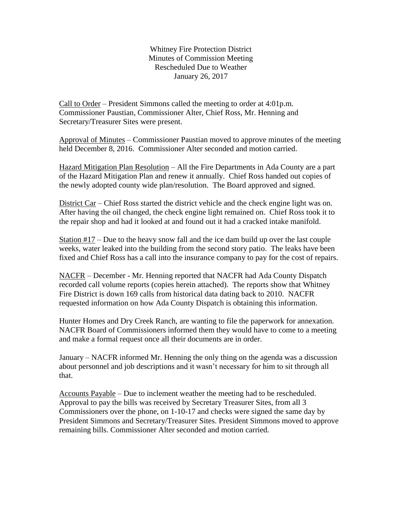Whitney Fire Protection District Minutes of Commission Meeting Rescheduled Due to Weather January 26, 2017

Call to Order – President Simmons called the meeting to order at 4:01p.m. Commissioner Paustian, Commissioner Alter, Chief Ross, Mr. Henning and Secretary/Treasurer Sites were present.

Approval of Minutes – Commissioner Paustian moved to approve minutes of the meeting held December 8, 2016. Commissioner Alter seconded and motion carried.

Hazard Mitigation Plan Resolution – All the Fire Departments in Ada County are a part of the Hazard Mitigation Plan and renew it annually. Chief Ross handed out copies of the newly adopted county wide plan/resolution. The Board approved and signed.

District Car – Chief Ross started the district vehicle and the check engine light was on. After having the oil changed, the check engine light remained on. Chief Ross took it to the repair shop and had it looked at and found out it had a cracked intake manifold.

Station #17 – Due to the heavy snow fall and the ice dam build up over the last couple weeks, water leaked into the building from the second story patio. The leaks have been fixed and Chief Ross has a call into the insurance company to pay for the cost of repairs.

NACFR – December - Mr. Henning reported that NACFR had Ada County Dispatch recorded call volume reports (copies herein attached). The reports show that Whitney Fire District is down 169 calls from historical data dating back to 2010. NACFR requested information on how Ada County Dispatch is obtaining this information.

Hunter Homes and Dry Creek Ranch, are wanting to file the paperwork for annexation. NACFR Board of Commissioners informed them they would have to come to a meeting and make a formal request once all their documents are in order.

January – NACFR informed Mr. Henning the only thing on the agenda was a discussion about personnel and job descriptions and it wasn't necessary for him to sit through all that.

Accounts Payable – Due to inclement weather the meeting had to be rescheduled. Approval to pay the bills was received by Secretary Treasurer Sites, from all 3 Commissioners over the phone, on 1-10-17 and checks were signed the same day by President Simmons and Secretary/Treasurer Sites. President Simmons moved to approve remaining bills. Commissioner Alter seconded and motion carried.